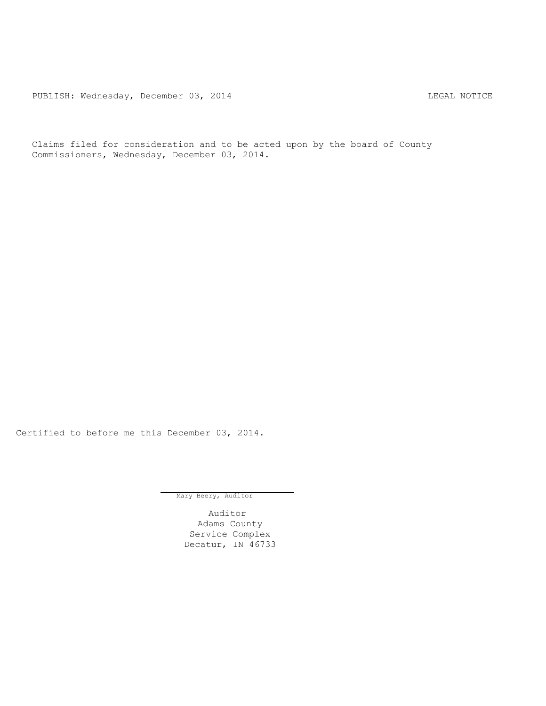PUBLISH: Wednesday, December 03, 2014 COMERCIAL SECRET REGAL NOTICE

Claims filed for consideration and to be acted upon by the board of County Commissioners, Wednesday, December 03, 2014.

Certified to before me this December 03, 2014.

Mary Beery, Auditor

Auditor Adams County Service Complex Decatur, IN 46733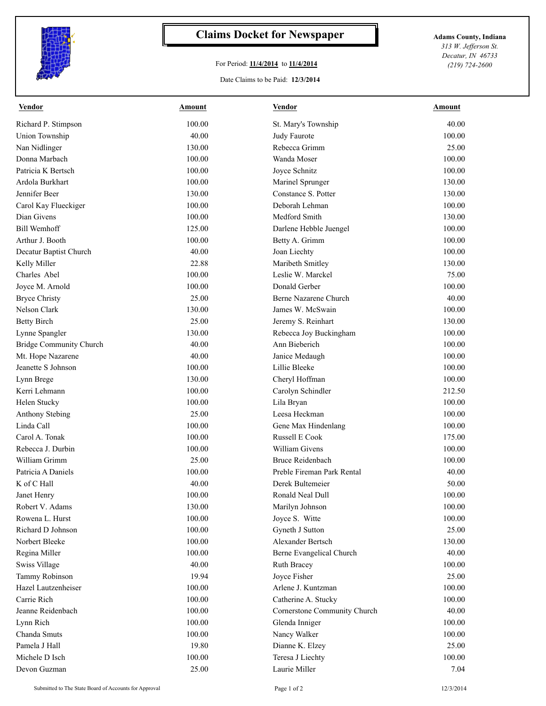

## **Claims Docket for Newspaper Adams County, Indiana**

## For Period: **11/4/2014** to **11/4/2014**

Date Claims to be Paid: **12/3/2014**

*313 W. Jefferson St. Decatur, IN 46733 (219) 724-2600*

| <b>Vendor</b>                  | Amount | <b>Vendor</b>                | Amount |
|--------------------------------|--------|------------------------------|--------|
| Richard P. Stimpson            | 100.00 | St. Mary's Township          | 40.00  |
| <b>Union Township</b>          | 40.00  | Judy Faurote                 | 100.00 |
| Nan Nidlinger                  | 130.00 | Rebecca Grimm                | 25.00  |
| Donna Marbach                  | 100.00 | Wanda Moser                  | 100.00 |
| Patricia K Bertsch             | 100.00 | Joyce Schnitz                | 100.00 |
| Ardola Burkhart                | 100.00 | Marinel Sprunger             | 130.00 |
| Jennifer Beer                  | 130.00 | Constance S. Potter          | 130.00 |
| Carol Kay Flueckiger           | 100.00 | Deborah Lehman               | 100.00 |
| Dian Givens                    | 100.00 | Medford Smith                | 130.00 |
| <b>Bill Wemhoff</b>            | 125.00 | Darlene Hebble Juengel       | 100.00 |
| Arthur J. Booth                | 100.00 | Betty A. Grimm               | 100.00 |
| Decatur Baptist Church         | 40.00  | Joan Liechty                 | 100.00 |
| Kelly Miller                   | 22.88  | Maribeth Smitley             | 130.00 |
| Charles Abel                   | 100.00 | Leslie W. Marckel            | 75.00  |
| Joyce M. Arnold                | 100.00 | Donald Gerber                | 100.00 |
| <b>Bryce Christy</b>           | 25.00  | Berne Nazarene Church        | 40.00  |
| <b>Nelson Clark</b>            | 130.00 | James W. McSwain             | 100.00 |
| <b>Betty Birch</b>             | 25.00  | Jeremy S. Reinhart           | 130.00 |
| Lynne Spangler                 | 130.00 | Rebecca Joy Buckingham       | 100.00 |
| <b>Bridge Community Church</b> | 40.00  | Ann Bieberich                | 100.00 |
| Mt. Hope Nazarene              | 40.00  | Janice Medaugh               | 100.00 |
| Jeanette S Johnson             | 100.00 | Lillie Bleeke                | 100.00 |
| Lynn Brege                     | 130.00 | Cheryl Hoffman               | 100.00 |
| Kerri Lehmann                  | 100.00 | Carolyn Schindler            | 212.50 |
| Helen Stucky                   | 100.00 | Lila Bryan                   | 100.00 |
| Anthony Stebing                | 25.00  | Leesa Heckman                | 100.00 |
| Linda Call                     | 100.00 | Gene Max Hindenlang          | 100.00 |
| Carol A. Tonak                 | 100.00 | <b>Russell E Cook</b>        | 175.00 |
| Rebecca J. Durbin              | 100.00 | William Givens               | 100.00 |
| William Grimm                  | 25.00  | <b>Bruce Reidenbach</b>      | 100.00 |
| Patricia A Daniels             | 100.00 | Preble Fireman Park Rental   | 40.00  |
| K of C Hall                    | 40.00  | Derek Bultemeier             | 50.00  |
| Janet Henry                    | 100.00 | Ronald Neal Dull             | 100.00 |
| Robert V. Adams                | 130.00 | Marilyn Johnson              | 100.00 |
| Rowena L. Hurst                | 100.00 | Joyce S. Witte               | 100.00 |
| Richard D Johnson              | 100.00 | Gyneth J Sutton              | 25.00  |
| Norbert Bleeke                 | 100.00 | Alexander Bertsch            | 130.00 |
| Regina Miller                  | 100.00 | Berne Evangelical Church     | 40.00  |
| Swiss Village                  | 40.00  | Ruth Bracey                  | 100.00 |
| Tammy Robinson                 | 19.94  | Joyce Fisher                 | 25.00  |
| Hazel Lautzenheiser            | 100.00 | Arlene J. Kuntzman           | 100.00 |
| Carrie Rich                    | 100.00 | Catherine A. Stucky          | 100.00 |
| Jeanne Reidenbach              | 100.00 | Cornerstone Community Church | 40.00  |
| Lynn Rich                      | 100.00 | Glenda Inniger               | 100.00 |
| Chanda Smuts                   | 100.00 | Nancy Walker                 | 100.00 |
| Pamela J Hall                  | 19.80  | Dianne K. Elzey              | 25.00  |
| Michele D Isch                 | 100.00 | Teresa J Liechty             | 100.00 |
| Devon Guzman                   | 25.00  | Laurie Miller                | 7.04   |
|                                |        |                              |        |